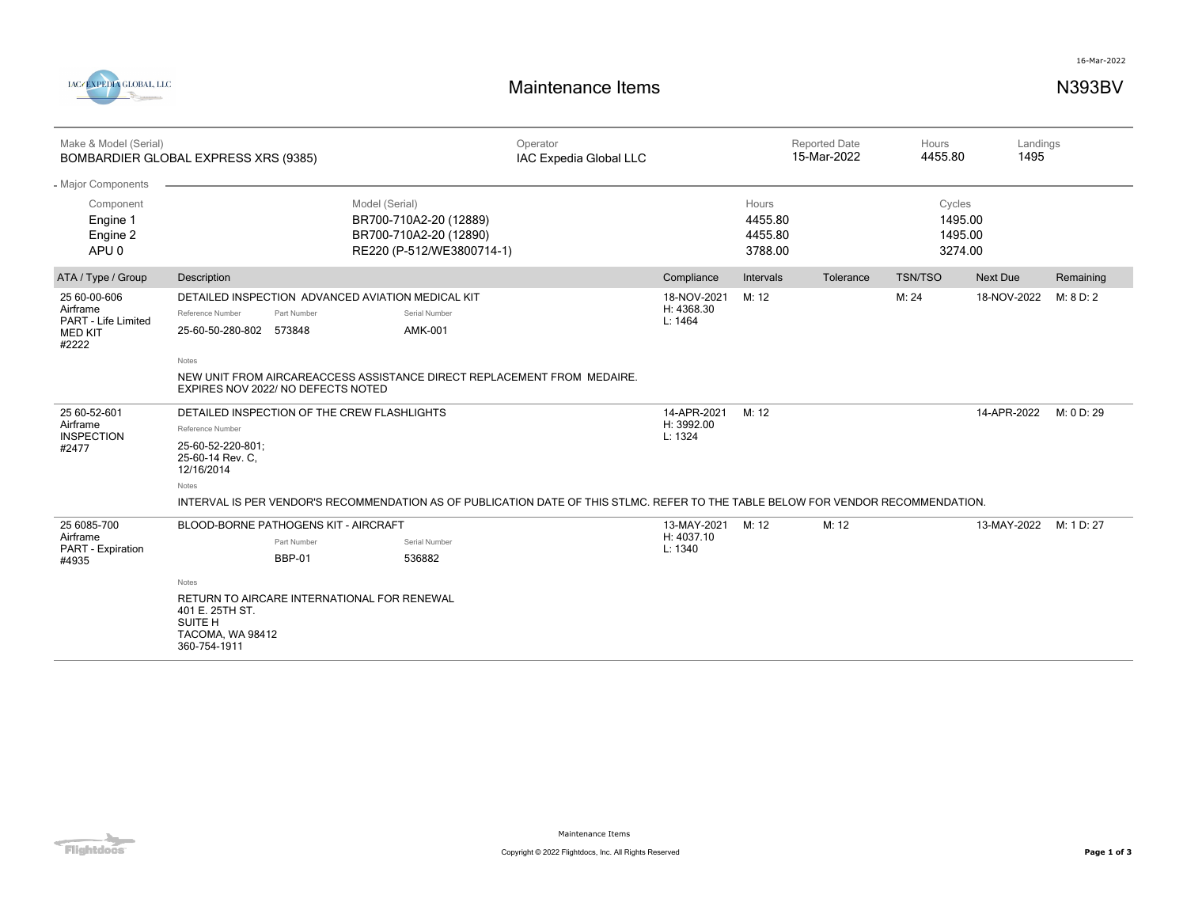



| Make & Model (Serial)<br>BOMBARDIER GLOBAL EXPRESS XRS (9385)              |                                                                                                                                                                                                              |                                                                                                                                   | Operator<br>IAC Expedia Global LLC |                                      | <b>Reported Date</b><br>15-Mar-2022    |           | Hours<br>4455.80                        |                 | Landings<br>1495 |  |
|----------------------------------------------------------------------------|--------------------------------------------------------------------------------------------------------------------------------------------------------------------------------------------------------------|-----------------------------------------------------------------------------------------------------------------------------------|------------------------------------|--------------------------------------|----------------------------------------|-----------|-----------------------------------------|-----------------|------------------|--|
| - Major Components                                                         |                                                                                                                                                                                                              |                                                                                                                                   |                                    |                                      |                                        |           |                                         |                 |                  |  |
| Component<br>Engine 1<br>Engine 2<br>APU <sub>0</sub>                      |                                                                                                                                                                                                              | Model (Serial)<br>BR700-710A2-20 (12889)<br>BR700-710A2-20 (12890)<br>RE220 (P-512/WE3800714-1)                                   |                                    |                                      | Hours<br>4455.80<br>4455.80<br>3788.00 |           | Cycles<br>1495.00<br>1495.00<br>3274.00 |                 |                  |  |
| ATA / Type / Group                                                         | Description                                                                                                                                                                                                  |                                                                                                                                   |                                    | Compliance                           | Intervals                              | Tolerance | <b>TSN/TSO</b>                          | <b>Next Due</b> | Remaining        |  |
| 25 60-00-606<br>Airframe<br>PART - Life Limited<br><b>MED KIT</b><br>#2222 | Reference Number<br>Part Number<br>25-60-50-280-802 573848                                                                                                                                                   | DETAILED INSPECTION ADVANCED AVIATION MEDICAL KIT<br>Serial Number<br>AMK-001                                                     |                                    | 18-NOV-2021<br>H: 4368.30<br>L: 1464 | M: 12                                  |           | M: 24                                   | 18-NOV-2022     | M: 8 D: 2        |  |
|                                                                            | Notes<br>NEW UNIT FROM AIRCAREACCESS ASSISTANCE DIRECT REPLACEMENT FROM MEDAIRE.<br>EXPIRES NOV 2022/ NO DEFECTS NOTED                                                                                       |                                                                                                                                   |                                    |                                      |                                        |           |                                         |                 |                  |  |
| 25 60-52-601<br>Airframe<br><b>INSPECTION</b><br>#2477                     | DETAILED INSPECTION OF THE CREW FLASHLIGHTS<br>Reference Number<br>25-60-52-220-801:<br>25-60-14 Rev. C.<br>12/16/2014<br>Notes                                                                              | INTERVAL IS PER VENDOR'S RECOMMENDATION AS OF PUBLICATION DATE OF THIS STLMC. REFER TO THE TABLE BELOW FOR VENDOR RECOMMENDATION. |                                    | 14-APR-2021<br>H: 3992.00<br>L: 1324 | M: 12                                  |           |                                         | 14-APR-2022     | M: 0 D: 29       |  |
| 25 6085-700<br>Airframe<br>PART - Expiration<br>#4935                      | <b>BLOOD-BORNE PATHOGENS KIT - AIRCRAFT</b><br>Part Number<br><b>BBP-01</b><br>Notes<br>RETURN TO AIRCARE INTERNATIONAL FOR RENEWAL<br>401 E. 25TH ST.<br><b>SUITE H</b><br>TACOMA, WA 98412<br>360-754-1911 | Serial Number<br>536882                                                                                                           |                                    | 13-MAY-2021<br>H: 4037.10<br>L: 1340 | M: 12                                  | M: 12     |                                         | 13-MAY-2022     | M: 1 D: 27       |  |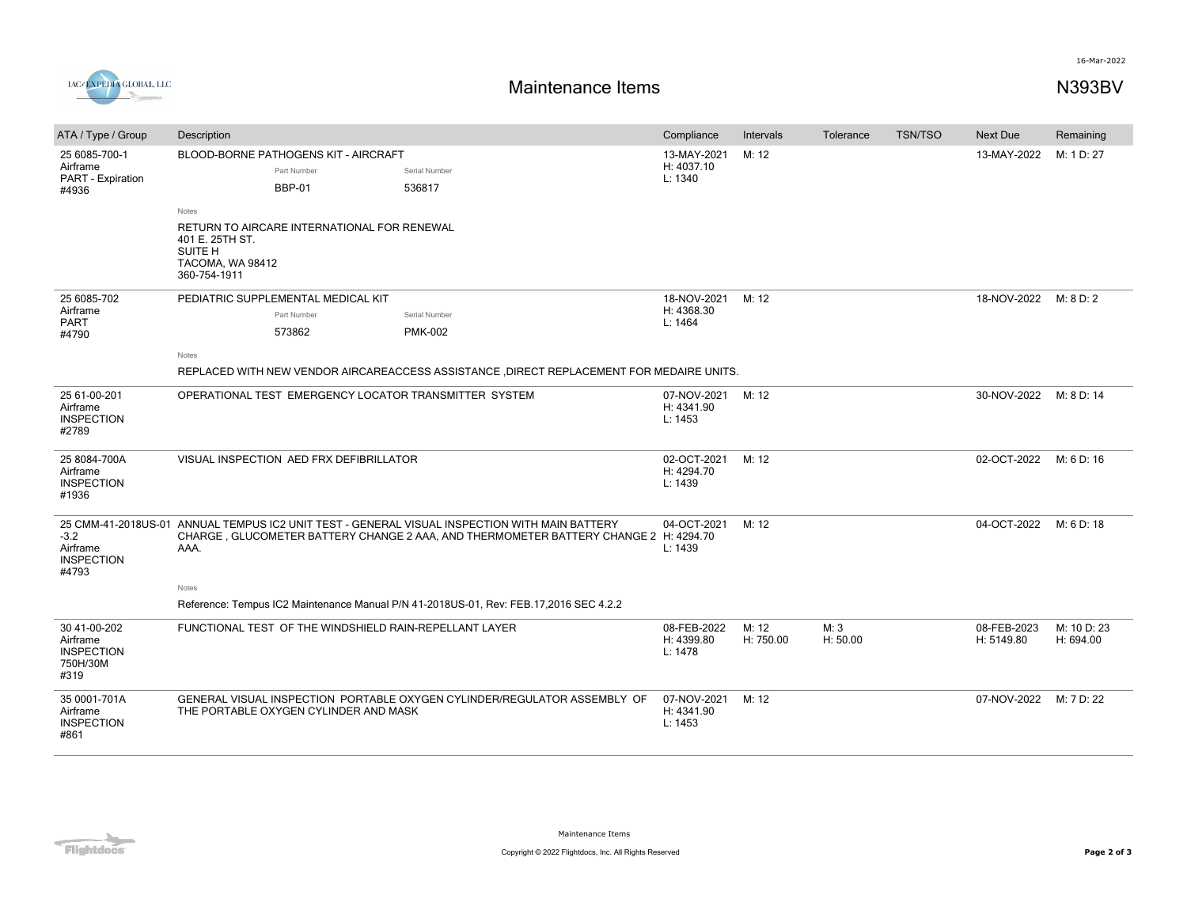

## **Maintenance Items N393BV**

16-Mar-2022

| ATA / Type / Group                                                | Description<br>Compliance                                                                                                                                                                                                                                                                       |                                                                                                                             |                                      | Intervals          | Tolerance        | <b>TSN/TSO</b> | Next Due                  | Remaining                |
|-------------------------------------------------------------------|-------------------------------------------------------------------------------------------------------------------------------------------------------------------------------------------------------------------------------------------------------------------------------------------------|-----------------------------------------------------------------------------------------------------------------------------|--------------------------------------|--------------------|------------------|----------------|---------------------------|--------------------------|
| 25 6085-700-1<br>Airframe<br>PART - Expiration<br>#4936           | BLOOD-BORNE PATHOGENS KIT - AIRCRAFT<br>Part Number<br><b>BBP-01</b><br>Notes<br>RETURN TO AIRCARE INTERNATIONAL FOR RENEWAL<br>401 E. 25TH ST.<br>SUITE H<br>TACOMA, WA 98412<br>360-754-1911                                                                                                  | 13-MAY-2021<br>H: 4037.10<br>L: 1340                                                                                        | M: 12                                |                    |                  | 13-MAY-2022    | M: 1 D: 27                |                          |
| 25 6085-702<br>Airframe<br>PART<br>#4790                          | PEDIATRIC SUPPLEMENTAL MEDICAL KIT<br>Part Number<br>573862<br>Notes                                                                                                                                                                                                                            | Serial Number<br><b>PMK-002</b><br>REPLACED WITH NEW VENDOR AIRCAREACCESS ASSISTANCE, DIRECT REPLACEMENT FOR MEDAIRE UNITS. | 18-NOV-2021<br>H: 4368.30<br>L: 1464 | M: 12              |                  |                | 18-NOV-2022               | M: 8 D: 2                |
| 25 61-00-201<br>Airframe<br><b>INSPECTION</b><br>#2789            | OPERATIONAL TEST EMERGENCY LOCATOR TRANSMITTER SYSTEM                                                                                                                                                                                                                                           |                                                                                                                             |                                      | M: 12              |                  |                | 30-NOV-2022               | M: 8 D: 14               |
| 25 8084-700A<br>Airframe<br><b>INSPECTION</b><br>#1936            | VISUAL INSPECTION AED FRX DEFIBRILLATOR                                                                                                                                                                                                                                                         |                                                                                                                             |                                      | M: 12              |                  |                | 02-OCT-2022               | M: 6 D: 16               |
| $-3.2$<br>Airframe<br><b>INSPECTION</b><br>#4793                  | 25 CMM-41-2018US-01 ANNUAL TEMPUS IC2 UNIT TEST - GENERAL VISUAL INSPECTION WITH MAIN BATTERY<br>CHARGE, GLUCOMETER BATTERY CHANGE 2 AAA, AND THERMOMETER BATTERY CHANGE 2 H: 4294.70<br>AAA.<br>Notes<br>Reference: Tempus IC2 Maintenance Manual P/N 41-2018US-01, Rev: FEB.17,2016 SEC 4.2.2 |                                                                                                                             |                                      | M: 12              |                  |                | 04-OCT-2022               | M: 6 D: 18               |
| 30 41-00-202<br>Airframe<br><b>INSPECTION</b><br>750H/30M<br>#319 | FUNCTIONAL TEST OF THE WINDSHIELD RAIN-REPELLANT LAYER                                                                                                                                                                                                                                          |                                                                                                                             | 08-FEB-2022<br>H: 4399.80<br>L: 1478 | M: 12<br>H: 750.00 | M: 3<br>H: 50.00 |                | 08-FEB-2023<br>H: 5149.80 | M: 10 D: 23<br>H: 694.00 |
| 35 0001-701A<br>Airframe<br><b>INSPECTION</b><br>#861             | GENERAL VISUAL INSPECTION PORTABLE OXYGEN CYLINDER/REGULATOR ASSEMBLY OF<br>THE PORTABLE OXYGEN CYLINDER AND MASK                                                                                                                                                                               |                                                                                                                             |                                      | M: 12              |                  |                | 07-NOV-2022               | M: 7 D: 22               |